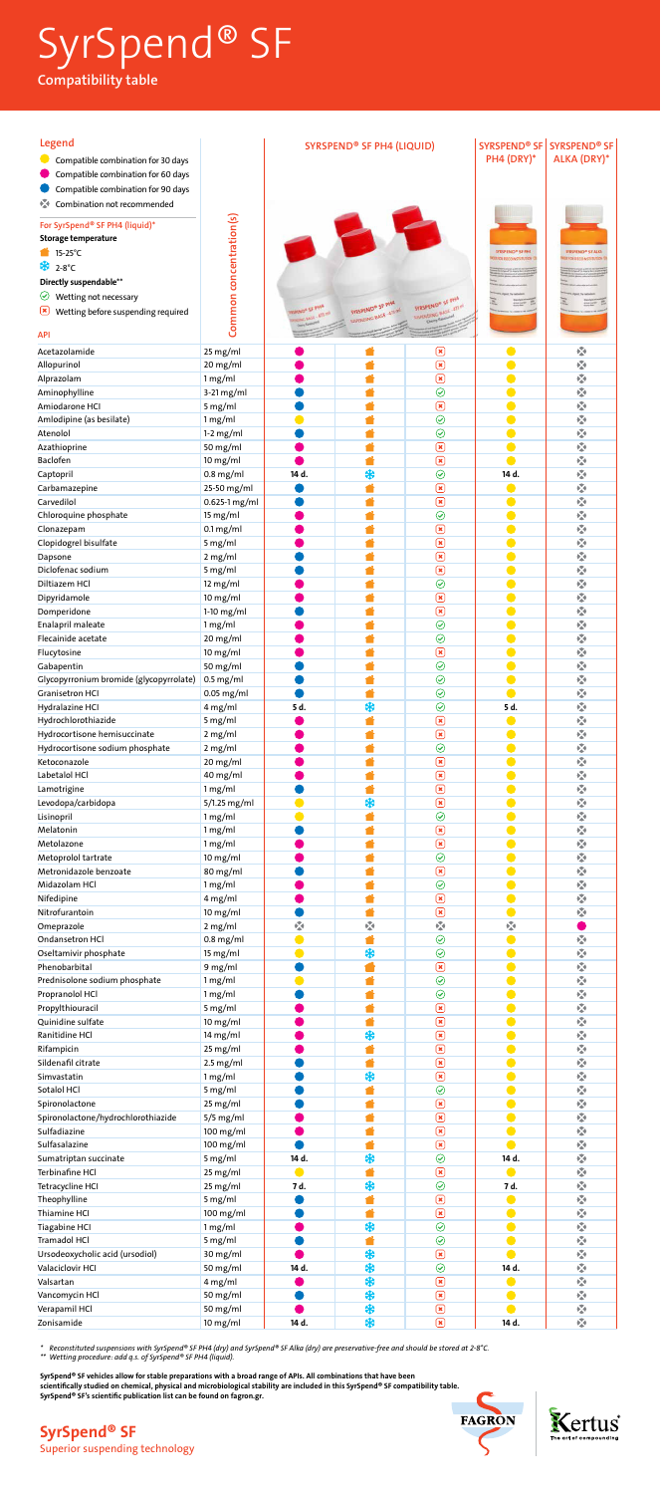| Legend<br>Compatible combination for 30 days<br>Compatible combination for 60 days |                           | <b>SYRSPEND® SF PH4 (LIQUID)</b>                   |                                                    |                                                    | PH4 (DRY)*                         | SYRSPEND <sup>®</sup> SF SYRSPEND <sup>®</sup> SF<br><b>ALKA (DRY)*</b> |
|------------------------------------------------------------------------------------|---------------------------|----------------------------------------------------|----------------------------------------------------|----------------------------------------------------|------------------------------------|-------------------------------------------------------------------------|
| Compatible combination for 90 days<br>交<br>Combination not recommended             |                           |                                                    |                                                    |                                                    |                                    |                                                                         |
| For SyrSpend® SF PH4 (liquid)*<br>Storage temperature                              | Common concentration(s)   |                                                    |                                                    |                                                    |                                    |                                                                         |
| $\bullet$ 15-25°C                                                                  |                           |                                                    |                                                    |                                                    | <b>SYRSPEND® SE PHA</b>            | SYRSPEND® SF ALKA                                                       |
| * 2-8°C                                                                            |                           |                                                    |                                                    |                                                    | <b><i>ITADE RECONSTITUTION</i></b> | <b>H FOR RECONSTITUTION</b>                                             |
| Directly suspendable**                                                             |                           |                                                    |                                                    |                                                    |                                    |                                                                         |
| Wetting not necessary<br>$\bm{\heartsuit}$                                         |                           |                                                    |                                                    | SYRSPEND® SF PHA                                   |                                    |                                                                         |
| <u>[x</u><br>Wetting before suspending required                                    |                           | <b>TOPLICON SE PHAA</b><br><b>Units - NAV SHOW</b> | SYRSPEND® SF PHA<br><b>NSPENDING BASE . 473 ml</b> | <b>MARKONNO BASE - ATS M</b><br>Cherry Rawburt     |                                    |                                                                         |
| <b>API</b>                                                                         |                           | Deny Spanon                                        |                                                    |                                                    |                                    |                                                                         |
| Acetazolamide                                                                      | 25 mg/ml                  |                                                    |                                                    | $\bm{\Xi}$                                         |                                    | 嚠                                                                       |
| Allopurinol                                                                        | 20 mg/ml                  |                                                    |                                                    | $\mathbf{\overline{R}}$                            |                                    | Ŵ                                                                       |
| Alprazolam                                                                         | 1 mg/ml                   |                                                    |                                                    | $\mathbf{\overline{z}}$                            |                                    | 図                                                                       |
| Aminophylline                                                                      | $3-21$ mg/ml              |                                                    |                                                    | $\odot$                                            |                                    | Ŵ                                                                       |
| Amiodarone HCI                                                                     | 5 mg/ml                   |                                                    |                                                    | $\mathbf{\mathbf{z}}$                              |                                    | Ŵ                                                                       |
| Amlodipine (as besilate)                                                           | 1 mg/ml                   |                                                    |                                                    | $\odot$                                            |                                    | M                                                                       |
| Atenolol                                                                           | $1-2$ mg/ml               |                                                    |                                                    | $\odot$                                            |                                    | M                                                                       |
| Azathioprine                                                                       | 50 mg/ml                  |                                                    |                                                    | $\mathbf{\overline{X}}$<br>$\mathbf{R}$            |                                    | $\sqrt{2}$<br>Ŵ                                                         |
| Baclofen<br>Captopril                                                              | $10$ mg/ml<br>$0.8$ mg/ml | 14 d.                                              | *                                                  | $\odot$                                            | 14 d.                              | Ø                                                                       |
| Carbamazepine                                                                      | 25-50 mg/ml               |                                                    |                                                    | $\mathbf{R}$                                       |                                    | Ŵ                                                                       |
| Carvedilol                                                                         | 0.625-1 mg/ml             |                                                    |                                                    | $\boxed{\mathbf{x}}$                               |                                    | Ŵ                                                                       |
| Chloroquine phosphate                                                              | 15 mg/ml                  |                                                    |                                                    | $\odot$                                            |                                    | Ŵ                                                                       |
| Clonazepam                                                                         | $0.1 \,\mathrm{mg/ml}$    |                                                    |                                                    | $\mathbf{\overline{x}}$                            |                                    | Ŵ                                                                       |
| Clopidogrel bisulfate                                                              | 5 mg/ml                   |                                                    |                                                    | $\mathbf{\overline{x}}$                            |                                    | M                                                                       |
| Dapsone                                                                            | 2 mg/ml                   |                                                    |                                                    | $\mathbf{\Xi}$                                     |                                    | M                                                                       |
| Diclofenac sodium                                                                  | 5 mg/ml                   |                                                    |                                                    | $\mathbf{\Xi}$<br>$\odot$                          |                                    | Ŵ<br>Ø                                                                  |
| Diltiazem HCl<br>Dipyridamole                                                      | 12 mg/ml<br>$10$ mg/ml    |                                                    |                                                    | $\boxed{\mathbf{x}}$                               |                                    | Ŵ                                                                       |
| Domperidone                                                                        | $1-10$ mg/ml              |                                                    |                                                    | $\mathbf{\overline{x}}$                            |                                    | Ŵ                                                                       |
| Enalapril maleate                                                                  | 1 mg/ml                   |                                                    |                                                    | $\odot$                                            |                                    | $\overline{\mathbf{z}}$                                                 |
| Flecainide acetate                                                                 | 20 mg/ml                  |                                                    |                                                    | $\odot$                                            |                                    | 图                                                                       |
| Flucytosine                                                                        | $10$ mg/ml                |                                                    |                                                    | $\mathbf{\overline{8}}$                            |                                    | Ŵ                                                                       |
| Gabapentin                                                                         | 50 mg/ml                  |                                                    |                                                    | $\odot$                                            |                                    | Ŵ                                                                       |
| Glycopyrronium bromide (glycopyrrolate)                                            | $0.5$ mg/ml               |                                                    |                                                    | $\odot$                                            |                                    | Ŵ                                                                       |
| <b>Granisetron HCI</b>                                                             | $0.05$ mg/ml              |                                                    |                                                    | $\odot$                                            |                                    | $\sum_{i=1}^n$                                                          |
| Hydralazine HCI                                                                    | 4 mg/ml<br>5 mg/ml        | 5 d.                                               | ₩                                                  | $\odot$<br>$\mathbf{\overline{x}}$                 | 5 d.                               | 嚠<br>Ŵ                                                                  |
| Hydrochlorothiazide<br>Hydrocortisone hemisuccinate                                | 2 mg/ml                   |                                                    |                                                    | $\boxed{\mathbf{x}}$                               |                                    | Ŵ                                                                       |
| Hydrocortisone sodium phosphate                                                    | 2 mg/ml                   |                                                    |                                                    | $\odot$                                            |                                    | Ŵ                                                                       |
| Ketoconazole                                                                       | 20 mg/ml                  |                                                    |                                                    | $\mathbf{\overline{x}}$                            |                                    | Ŵ                                                                       |
| Labetalol HCl                                                                      | 40 mg/ml                  |                                                    |                                                    | $\mathbf{\mathbf{z}}$                              |                                    | Ŵ                                                                       |
| Lamotrigine                                                                        | 1 mg/ml                   |                                                    |                                                    | $\mathbf{\mathbf{z}}$                              |                                    | M                                                                       |
| Levodopa/carbidopa                                                                 | 5/1.25 mg/ml              |                                                    | *                                                  | $\mathbf{\Xi}$                                     |                                    | Ŵ                                                                       |
| Lisinopril                                                                         | 1 mg/ml                   |                                                    |                                                    | $\odot$                                            |                                    | Ø                                                                       |
| Melatonin                                                                          | 1 mg/ml                   |                                                    |                                                    | $\mathbf{\overline{x}}$<br>$\mathbf{z}$            |                                    | Ø                                                                       |
| Metolazone<br>Metoprolol tartrate                                                  | 1 mg/ml<br>$10$ mg/ml     |                                                    |                                                    | $\odot$                                            |                                    | Ŵ<br>M                                                                  |
| Metronidazole benzoate                                                             | 80 mg/ml                  |                                                    |                                                    | $\boxed{\mathbf{x}}$                               |                                    | 网                                                                       |
| Midazolam HCl                                                                      | 1 mg/ml                   |                                                    |                                                    | $\odot$                                            |                                    | 图                                                                       |
| Nifedipine                                                                         | 4 mg/ml                   |                                                    |                                                    | $\mathbf{\overline{X}}$                            |                                    | $\sum_{i=1}^n$                                                          |
| Nitrofurantoin                                                                     | $10$ mg/ml                |                                                    |                                                    | $\mathbf{\overline{x}}$                            |                                    | Ŵ                                                                       |
| Omeprazole                                                                         | 2 mg/ml                   | Ŵ                                                  | Ŵ                                                  | 図                                                  | Ŵ                                  |                                                                         |
| Ondansetron HCl                                                                    | $0.8$ mg/ml               |                                                    |                                                    | $\odot$                                            |                                    | Ŵ                                                                       |
| Oseltamivir phosphate<br>Phenobarbital                                             | 15 mg/ml                  |                                                    | *                                                  | $\odot$<br>$\mathbf{\overline{x}}$                 |                                    | $\sum_{i=1}^{n}$<br>Ŵ                                                   |
| Prednisolone sodium phosphate                                                      | 9 mg/ml<br>1 mg/ml        |                                                    |                                                    | $\odot$                                            |                                    | Ŵ                                                                       |
| Propranolol HCl                                                                    | 1 mg/ml                   |                                                    |                                                    | $\odot$                                            |                                    | Ŵ                                                                       |
| Propylthiouracil                                                                   | 5 mg/ml                   |                                                    |                                                    | $\mathbf{\overline{x}}$                            |                                    | Ŵ                                                                       |
| Quinidine sulfate                                                                  | $10$ mg/ml                |                                                    |                                                    | $\mathbf{\overline{X}}$                            |                                    | Ŵ                                                                       |
| Ranitidine HCl                                                                     | 14 mg/ml                  |                                                    | *                                                  | $\mathbf{\mathbf{\Xi}}$                            |                                    | K                                                                       |
| Rifampicin                                                                         | 25 mg/ml                  |                                                    |                                                    | $\mathbf{\Xi}$                                     |                                    | Ŵ                                                                       |
| Sildenafil citrate<br>Simvastatin                                                  | $2.5$ mg/ml               |                                                    | *                                                  | $\mathbf{\mathbf{\Xi}}$<br>$\mathbf{\overline{x}}$ |                                    | 嚠<br>Ŵ                                                                  |
| Sotalol HCl                                                                        | 1 mg/ml<br>5 mg/ml        |                                                    |                                                    | $\odot$                                            |                                    | Ŵ                                                                       |
| Spironolactone                                                                     | 25 mg/ml                  |                                                    |                                                    | $\mathbf{\overline{x}}$                            |                                    | Ŵ                                                                       |
| Spironolactone/hydrochlorothiazide                                                 | $5/5$ mg/ml               |                                                    |                                                    | $\boxed{\mathbf{x}}$                               |                                    | 网                                                                       |
| Sulfadiazine                                                                       | 100 mg/ml                 |                                                    |                                                    | $\mathbf{\mathbf{\mathbf{\mathbb{R}}}}$            |                                    | V.                                                                      |
| Sulfasalazine                                                                      | 100 mg/ml                 |                                                    |                                                    | $\mathbf{\mathbf{\Xi}}$                            |                                    | $\sqrt{2}$                                                              |
| Sumatriptan succinate                                                              | 5 mg/ml                   | 14 d.                                              | *                                                  | $\odot$                                            | 14 d.                              | $\sqrt{2}$                                                              |
| Terbinafine HCl                                                                    | 25 mg/ml                  |                                                    |                                                    | $\mathbf{\mathbf{\Xi}}$                            |                                    | $\sum_{i=1}^{n}$                                                        |
| Tetracycline HCI                                                                   | 25 mg/ml                  | 7 d.                                               | *                                                  | $\odot$<br>$\mathbf{\mathbf{\Xi}}$                 | 7 d.<br>$\bullet$                  | $\sum_{i=1}^{n}$<br>K                                                   |
| Theophylline<br>Thiamine HCI                                                       | 5 mg/ml<br>100 mg/ml      |                                                    |                                                    | $\mathbf{\Xi}$                                     |                                    | Ŵ                                                                       |
| <b>Tiagabine HCI</b>                                                               | 1 mg/ml                   |                                                    | *                                                  | $\overline{\odot}$                                 |                                    | Ŵ                                                                       |
| Tramadol HCl                                                                       | 5 mg/ml                   |                                                    |                                                    | $\odot$                                            |                                    | Ŵ                                                                       |
| Ursodeoxycholic acid (ursodiol)                                                    | 30 mg/ml                  |                                                    | *                                                  | $\boxed{\mathbf{x}}$                               |                                    | Ŵ                                                                       |
| Valaciclovir HCI                                                                   | 50 mg/ml                  | 14 d.                                              | *                                                  | $\odot$                                            | 14 d.                              | Ŵ                                                                       |
| Valsartan                                                                          | 4 mg/ml                   |                                                    | *                                                  | $\mathbf{\mathbf{\Xi}}$                            | $\bullet$                          | $\sqrt{2}$                                                              |
| Vancomycin HCl                                                                     | 50 mg/ml                  |                                                    | *                                                  | $\mathbf{\mathbf{\Xi}}$                            | $\bullet$                          | $\sum_{i=1}^{n}$                                                        |
| Verapamil HCl<br>Zonisamide                                                        | 50 mg/ml<br>10 mg/ml      | 14 d.                                              | *<br>*                                             | $\boxed{\mathbf{x}}$<br>$\mathbf{\Xi}$             | $\bullet$<br>14 d.                 | $\sum_{i=1}^n$<br>图                                                     |
|                                                                                    |                           |                                                    |                                                    |                                                    |                                    |                                                                         |







*\* Reconstituted suspensions with SyrSpend® SF PH4 (dry) and SyrSpend® SF Alka (dry) are preservative-free and should be stored at 2-8°C.*

*\*\* Wetting procedure: add q.s. of SyrSpend® SF PH4 (liquid).*

SyrSpend® SF vehicles allow for stable preparations with a broad range of APIs. All combinations that have been scientifically studied on chemical, physical and microbiological stability are included in this SyrSpend® SF compatibility table. SyrSpend® SF's scientific publication list can be found on fagron.gr.

# SyrSpend® SF Compatibility table